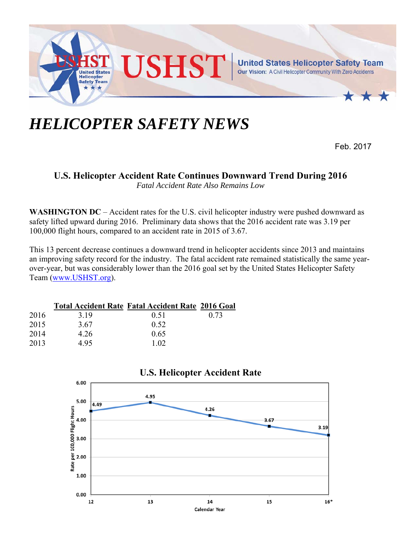

## *HELICOPTER SAFETY NEWS*

Feb. 2017

## **U.S. Helicopter Accident Rate Continues Downward Trend During 2016**

*Fatal Accident Rate Also Remains Low* 

**WASHINGTON DC** – Accident rates for the U.S. civil helicopter industry were pushed downward as safety lifted upward during 2016. Preliminary data shows that the 2016 accident rate was 3.19 per 100,000 flight hours, compared to an accident rate in 2015 of 3.67.

This 13 percent decrease continues a downward trend in helicopter accidents since 2013 and maintains an improving safety record for the industry. The fatal accident rate remained statistically the same yearover-year, but was considerably lower than the 2016 goal set by the United States Helicopter Safety Team (www.USHST.org).

|      |      | <b>Total Accident Rate Fatal Accident Rate 2016 Goal</b> |      |
|------|------|----------------------------------------------------------|------|
| 2016 | 3.19 | 0.51                                                     | 0.73 |
| 2015 | 3.67 | 0.52                                                     |      |
| 2014 | 4.26 | 0.65                                                     |      |
| 2013 | 4.95 | 1.02                                                     |      |